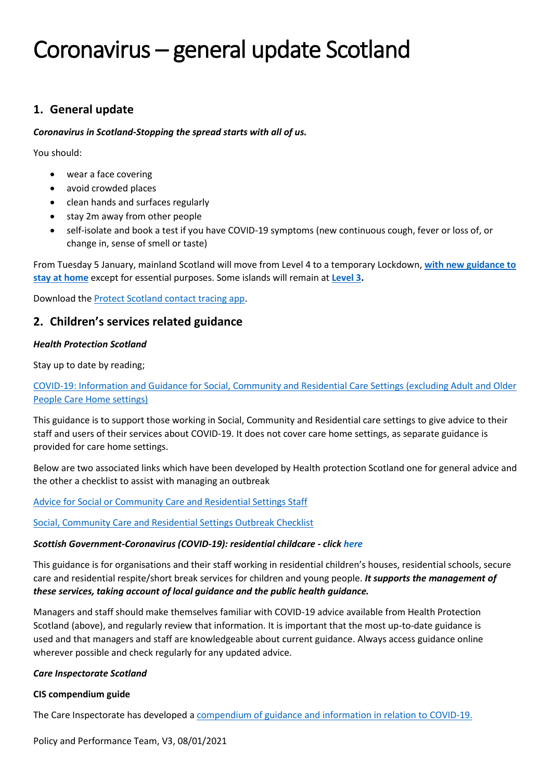# **1. General update**

## *Coronavirus in Scotland-Stopping the spread starts with all of us.*

You should:

- wear a face covering
- avoid crowded places
- clean hands and surfaces regularly
- stay 2m away from other people
- self-isolate and book a test if you have COVID-19 symptoms (new continuous cough, fever or loss of, or change in, sense of smell or taste)

From Tuesday 5 January, mainland Scotland will move from Level 4 to a temporary Lockdown, **with [new guidance to](https://www.gov.scot/publications/coronavirus-covid-19-stay-at-home-guidance/)  [stay at home](https://www.gov.scot/publications/coronavirus-covid-19-stay-at-home-guidance/)** except for essential purposes. Some islands will remain at **[Level 3.](https://www.gov.scot/publications/coronavirus-covid-19-protection-levels/pages/protection-level-3/)**

Download the [Protect Scotland contact tracing app.](https://protect.scot/)

# **2. Children's services related guidance**

# *Health Protection Scotland*

Stay up to date by reading;

[COVID-19: Information and Guidance for Social, Community and Residential Care Settings](https://hpspubsrepo.blob.core.windows.net/hps-website/nss/3045/documents/1_covid-19-guidance-social-community-residential-care.pdf) (excluding Adult and Older [People Care Home settings\)](https://hpspubsrepo.blob.core.windows.net/hps-website/nss/3045/documents/1_covid-19-guidance-social-community-residential-care.pdf)

This guidance is to support those working in Social, Community and Residential care settings to give advice to their staff and users of their services about COVID-19. It does not cover care home settings, as separate guidance is provided for care home settings.

Below are two associated links which have been developed by Health protection Scotland one for general advice and the other a checklist to assist with managing an outbreak

[Advice for Social or Community Care and Residential Settings Staff](https://hpspubsrepo.blob.core.windows.net/hps-website/nss/3045/documents/2_covid-19-advice-for-social-or-community-care-and-residential-settings-staff.pdf)

[Social, Community Care and Residential Settings Outbreak Checklist](https://hpspubsrepo.blob.core.windows.net/hps-website/nss/3045/documents/3_COVID-19-social-community-care-and-residential-settings-outbreak-checklist.pdf)

## *Scottish Government-Coronavirus (COVID-19): residential childcare - clic[k here](https://www.gov.scot/publications/coronavirus-covid-19-residential-childcare/)*

This guidance is for organisations and their staff working in residential children's houses, residential schools, secure care and residential respite/short break services for children and young people. *It supports the management of these services, taking account of local guidance and the public health guidance.*

Managers and staff should make themselves familiar with COVID-19 advice available from Health Protection Scotland (above), and regularly review that information. It is important that the most up-to-date guidance is used and that managers and staff are knowledgeable about current guidance. Always access guidance online wherever possible and check regularly for any updated advice.

## *Care Inspectorate Scotland*

## **CIS compendium guide**

The Care Inspectorate has developed a [compendium of guidance and information in relation to](https://www.careinspectorate.com/images/documents/coronavirus/Covid_19_Guidance_Compendium_23.12.20.pdf) COVID-19.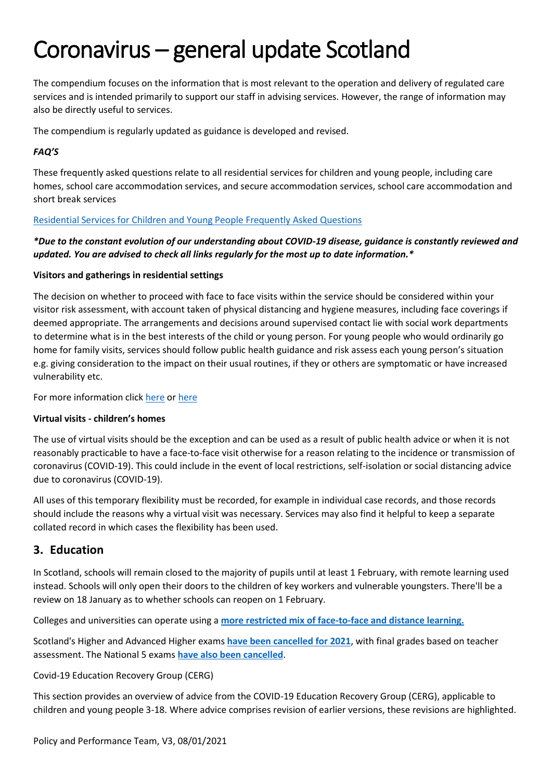The compendium focuses on the information that is most relevant to the operation and delivery of regulated care services and is intended primarily to support our staff in advising services. However, the range of information may also be directly useful to services.

The compendium is regularly updated as guidance is developed and revised.

# *FAQ'S*

These frequently asked questions relate to all residential services for children and young people, including care homes, school care accommodation services, and secure accommodation services, school care accommodation and short break services

## [Residential Services for Children and Young People Frequently Asked Questions](https://www.careinspectorate.com/images/documents/coronavirus/FAQs/4._Residential_Services_for_CYP_FAQs_18_December_2020.pdf)

# *\*Due to the constant evolution of our understanding about COVID-19 disease, guidance is constantly reviewed and updated. You are advised to check all links regularly for the most up to date information.\**

#### **Visitors and gatherings in residential settings**

The decision on whether to proceed with face to face visits within the service should be considered within your visitor risk assessment, with account taken of physical distancing and hygiene measures, including face coverings if deemed appropriate. The arrangements and decisions around supervised contact lie with social work departments to determine what is in the best interests of the child or young person. For young people who would ordinarily go home for family visits, services should follow public health guidance and risk assess each young person's situation e.g. giving consideration to the impact on their usual routines, if they or others are symptomatic or have increased vulnerability etc.

For more information click [here](https://hpspubsrepo.blob.core.windows.net/hps-website/nss/3045/documents/1_covid-19-guidance-social-community-residential-care.pdf) or [here](https://www.careinspectorate.com/index.php/coronavirus-professionals/information-for-people-experiencing-care)

#### **Virtual visits - children's homes**

The use of virtual visits should be the exception and can be used as a result of public health advice or when it is not reasonably practicable to have a face-to-face visit otherwise for a reason relating to the incidence or transmission of coronavirus (COVID-19). This could include in the event of local restrictions, self-isolation or social distancing advice due to coronavirus (COVID-19).

All uses of this temporary flexibility must be recorded, for example in individual case records, and those records should include the reasons why a virtual visit was necessary. Services may also find it helpful to keep a separate collated record in which cases the flexibility has been used.

# **3. Education**

In Scotland, schools will remain closed to the majority of pupils until at least 1 February, with remote learning used instead. Schools will only open their doors to the children of key workers and vulnerable youngsters. There'll be a review on 18 January as to whether schools can reopen on 1 February.

Colleges and universities can operate using a **[more restricted mix of face-to-face and distance learning.](https://www.gov.scot/publications/coronavirus-covid-19-universities-colleges-and-student-accommodation-providers/)**

Scotland's Higher and Advanced Higher exams **[have been cancelled for 2021](https://www.bbc.co.uk/news/uk-scotland-scotland-politics-55230774)**, with final grades based on teacher assessment. The National 5 exams **[have also been cancelled](https://www.bbc.co.uk/news/uk-scotland-54423265)**.

#### Covid-19 Education Recovery Group (CERG)

This section provides an overview of advice from the COVID-19 Education Recovery Group (CERG), applicable to children and young people 3-18. Where advice comprises revision of earlier versions, these revisions are highlighted.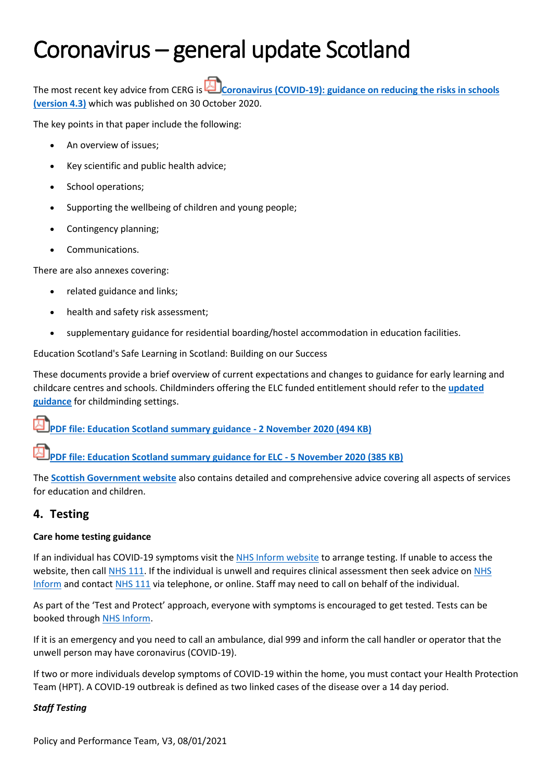The most recent key advice from CERG is **Coronavirus (COVID-19): guidance on reducing the risks in schools [\(version 4.3](https://education.gov.scot/media/uknd0gl0/reducing-risks-in-schools-guidance-version-4-3.pdf)[\)](https://www.gov.scot/publications/coronavirus-covid-19-guidance-on-reducing-the-risks-in-schools/pages/version-information/?forceDownload=true)** which was published on 30 October 2020.

The key points in that paper include the following:

- An overview of issues;
- Key scientific and public health advice;
- School operations;
- Supporting the wellbeing of children and young people;
- Contingency planning;
- Communications.

There are also annexes covering:

- related guidance and links;
- health and safety risk assessment;
- supplementary guidance for residential boarding/hostel accommodation in education facilities.

Education Scotland's Safe Learning in Scotland: Building on our Success

These documents provide a brief overview of current expectations and changes to guidance for early learning and childcare centres and schools. Childminders offering the ELC funded entitlement should refer to the **[updated](https://www.gov.scot/publications/coronavirus-covid-19-childminder-services-guidance/)  [guidance](https://www.gov.scot/publications/coronavirus-covid-19-childminder-services-guidance/)** for childminding settings.

**[PDF file: Education Scotland summary guidance -](https://education.gov.scot/media/vbfdq5jp/es-summary-guidance-021120.pdf) 2 November 2020 (494 KB)**

**[PDF file: Education Scotland summary guidance for ELC -](https://education.gov.scot/media/kx3asmzi/es-summary-guidance-elc.pdf) 5 November 2020 (385 KB)**

The **[Scottish Government website](https://www.gov.scot/collections/coronavirus-covid-19-guidance/?dm_t=0,0,0,0,0#educationandchildren)** also contains detailed and comprehensive advice covering all aspects of services for education and children.

# **4. Testing**

## **Care home testing guidance**

If an individual has COVID-19 symptoms visit th[e NHS Inform website](https://www.nhsinform.scot/self-help-guides/self-help-guide-access-to-testing-for-coronavirus) to arrange testing. If unable to access the website, then call [NHS 111.](https://www.nhsinform.scot/self-help-guides/self-help-guide-access-to-testing-for-coronavirus) If the individual is unwell and requires clinical assessment then seek advice on NHS [Inform](https://www.nhsinform.scot/self-help-guides/self-help-guide-access-to-testing-for-coronavirus) and contact [NHS 111](https://www.nhsinform.scot/self-help-guides/self-help-guide-access-to-testing-for-coronavirus) via telephone, or online. Staff may need to call on behalf of the individual.

As part of the 'Test and Protect' approach, everyone with symptoms is encouraged to get tested. Tests can be booked throug[h NHS Inform.](https://www.nhsinform.scot/self-help-guides/self-help-guide-access-to-testing-for-coronavirus)

If it is an emergency and you need to call an ambulance, dial 999 and inform the call handler or operator that the unwell person may have coronavirus (COVID-19).

If two or more individuals develop symptoms of COVID-19 within the home, you must contact your Health Protection Team (HPT). A COVID-19 outbreak is defined as two linked cases of the disease over a 14 day period.

# *Staff Testing*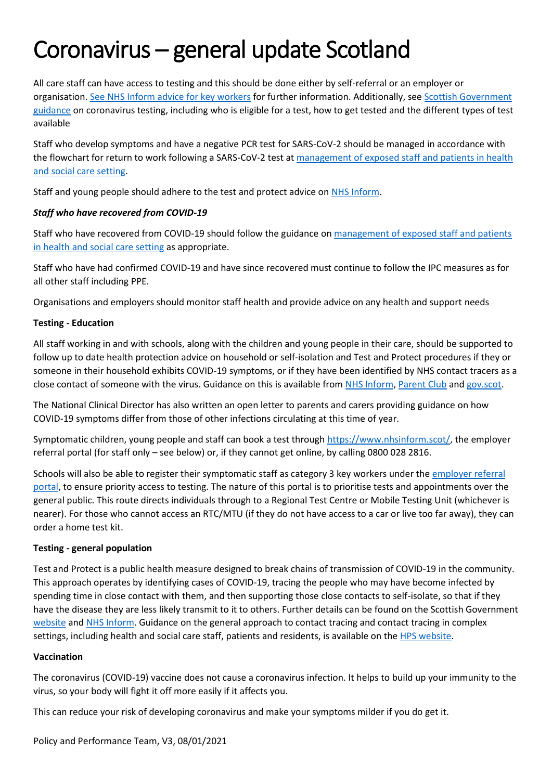All care staff can have access to testing and this should be done either by self-referral or an employer or organisation. [See NHS Inform advice for key workers](https://www.nhsinform.scot/illnesses-and-conditions/infections-and-poisoning/coronavirus-covid-19/workers-travellers-and-community-support/coronavirus-covid-19-advice-for-key-workers) for further information. Additionally, see Scottish [Government](https://www.gov.scot/publications/coronavirus-covid-19-getting-tested/pages/overview/)  [guidance](https://www.gov.scot/publications/coronavirus-covid-19-getting-tested/pages/overview/) on coronavirus testing, including who is eligible for a test, how to get tested and the different types of test available

Staff who develop symptoms and have a negative PCR test for SARS-CoV-2 should be managed in accordance with the flowchart for return to work following a SARS-CoV-2 test at [management of exposed staff and patients in health](https://www.gov.uk/government/publications/covid-19-management-of-exposed-healthcare-workers-and-patients-in-hospital-settings)  [and social care setting.](https://www.gov.uk/government/publications/covid-19-management-of-exposed-healthcare-workers-and-patients-in-hospital-settings)

Staff and young people should adhere to the test and protect advice on [NHS Inform.](https://www.nhsinform.scot/campaigns/test-and-protect)

# *Staff who have recovered from COVID-19*

Staff who have recovered from COVID-19 should follow the guidance o[n management of exposed staff and patients](https://www.gov.uk/government/publications/covid-19-management-of-exposed-healthcare-workers-and-patients-in-hospital-settings)  [in health and social care setting](https://www.gov.uk/government/publications/covid-19-management-of-exposed-healthcare-workers-and-patients-in-hospital-settings) as appropriate.

Staff who have had confirmed COVID-19 and have since recovered must continue to follow the IPC measures as for all other staff including PPE.

Organisations and employers should monitor staff health and provide advice on any health and support needs

# **Testing - Education**

All staff working in and with schools, along with the children and young people in their care, should be supported to follow up to date health protection advice on household or self-isolation and Test and Protect procedures if they or someone in their household exhibits COVID-19 symptoms, or if they have been identified by NHS contact tracers as a close contact of someone with the virus. Guidance on this is available from [NHS Inform,](https://www.nhsinform.scot/campaigns/test-and-protect) [Parent Club](https://www.parentclub.scot/) an[d gov.scot.](https://www.gov.scot/coronavirus-covid-19/)

The National Clinical Director has also written an open letter to parents and carers providing guidance on how COVID-19 symptoms differ from those of other infections circulating at this time of year.

Symptomatic children, young people and staff can book a test through [https://www.nhsinform.scot/,](https://www.nhsinform.scot/) the employer referral portal (for staff only – see below) or, if they cannot get online, by calling 0800 028 2816.

Schools will also be able to register their symptomatic staff as category 3 key workers under the employer referral [portal,](https://coronavirus-invite-testing.service.gov.uk/) to ensure priority access to testing. The nature of this portal is to prioritise tests and appointments over the general public. This route directs individuals through to a Regional Test Centre or Mobile Testing Unit (whichever is nearer). For those who cannot access an RTC/MTU (if they do not have access to a car or live too far away), they can order a home test kit.

## **Testing - general population**

Test and Protect is a public health measure designed to break chains of transmission of COVID-19 in the community. This approach operates by identifying cases of COVID-19, tracing the people who may have become infected by spending time in close contact with them, and then supporting those close contacts to self-isolate, so that if they have the disease they are less likely transmit to it to others. Further details can be found on the Scottish Government [website](https://www.gov.scot/publications/coronavirus-covid-19-test-and-protect/) and [NHS Inform.](https://www.nhsinform.scot/campaigns/test-and-protect) Guidance on the general approach to contact tracing and contact tracing in complex settings, including health and social care staff, patients and residents, is available on th[e HPS website.](https://www.hps.scot.nhs.uk/a-to-z-of-topics/covid-19/contact-tracing/#title-container)

## **Vaccination**

The coronavirus (COVID-19) vaccine does not cause a coronavirus infection. It helps to build up your immunity to the virus, so your body will fight it off more easily if it affects you.

This can reduce your risk of developing coronavirus and make your symptoms milder if you do get it.